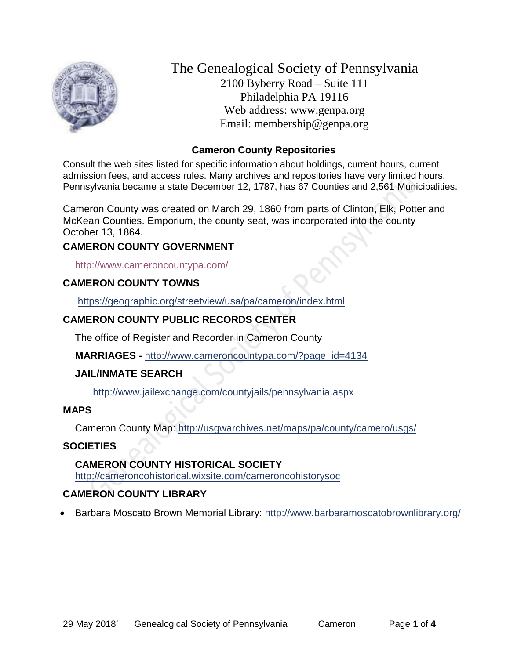

The Genealogical Society of Pennsylvania 2100 Byberry Road – Suite 111 Philadelphia PA 19116 Web address: www.genpa.org Email: membership@genpa.org

#### **Cameron County Repositories**

Consult the web sites listed for specific information about holdings, current hours, current admission fees, and access rules. Many archives and repositories have very limited hours. Pennsylvania became a state December 12, 1787, has 67 Counties and 2,561 Municipalities.

Cameron County was created on March 29, 1860 from parts of Clinton, Elk, Potter and McKean Counties. Emporium, the county seat, was incorporated into the county October 13, 1864.

#### **CAMERON COUNTY GOVERNMENT**

<http://www.cameroncountypa.com/>

#### **CAMERON COUNTY TOWNS**

<https://geographic.org/streetview/usa/pa/cameron/index.html>

# **CAMERON COUNTY PUBLIC RECORDS CENTER**

The office of Register and Recorder in Cameron County

**MARRIAGES -** [http://www.cameroncountypa.com/?page\\_id=4134](http://www.cameroncountypa.com/?page_id=4134)

#### **JAIL/INMATE SEARCH**

<http://www.jailexchange.com/countyjails/pennsylvania.aspx>

#### **MAPS**

Cameron County Map:<http://usgwarchives.net/maps/pa/county/camero/usgs/>

#### **SOCIETIES**

# **CAMERON COUNTY HISTORICAL SOCIETY**

<http://cameroncohistorical.wixsite.com/cameroncohistorysoc>

# **CAMERON COUNTY LIBRARY**

• Barbara Moscato Brown Memorial Library:<http://www.barbaramoscatobrownlibrary.org/>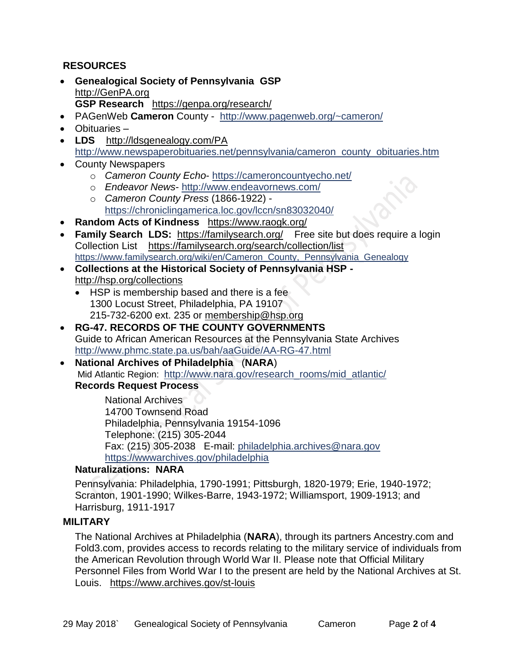#### **RESOURCES**

- **Genealogical Society of Pennsylvania GSP** [http://GenPA.org](http://genpa.org/) **GSP Research** <https://genpa.org/research/>
- PAGenWeb **Cameron** County <http://www.pagenweb.org/~cameron/>
- Obituaries –
- **LDS** <http://ldsgenealogy.com/PA> [http://www.newspaperobituaries.net/pennsylvania/cameron\\_county\\_obituaries.htm](http://www.newspaperobituaries.net/pennsylvania/cameron_county_obituaries.htm)
- County Newspapers
	- o *Cameron County Echo* <https://cameroncountyecho.net/>
	- o *Endeavor News* <http://www.endeavornews.com/>
	- o *Cameron County Press* (1866-1922) <https://chroniclingamerica.loc.gov/lccn/sn83032040/>
- **Random Acts of Kindness** <https://www.raogk.org/>
- **Family Search LDS:** <https://familysearch.org/>Free site but does require a login Collection List <https://familysearch.org/search/collection/list> [https://www.familysearch.org/wiki/en/Cameron\\_County,\\_Pennsylvania\\_Genealogy](https://www.familysearch.org/wiki/en/Cameron_County,_Pennsylvania_Genealogy)
- **Collections at the Historical Society of Pennsylvania HSP**  <http://hsp.org/collections>
	- HSP is membership based and there is a fee 1300 Locust Street, Philadelphia, PA 19107 215-732-6200 ext. 235 or [membership@hsp.org](mailto:membership@hsp.org)
- **RG-47. RECORDS OF THE COUNTY GOVERNMENTS** Guide to African American Resources at the Pennsylvania State Archives <http://www.phmc.state.pa.us/bah/aaGuide/AA-RG-47.html>
- **National Archives of Philadelphia** (**NARA**) Mid Atlantic Region: [http://www.nara.gov/research\\_rooms/mid\\_atlantic/](http://www.nara.gov/research_rooms/mid_atlantic/) **Records Request Process**

National Archives 14700 Townsend Road Philadelphia, Pennsylvania 19154-1096 Telephone: (215) 305-2044 Fax: (215) 305-2038 E-mail: [philadelphia.archives@nara.gov](mailto:philadelphia.archives@nara.gov) <https://wwwarchives.gov/philadelphia>

#### **Naturalizations: NARA**

Pennsylvania: Philadelphia, 1790-1991; Pittsburgh, 1820-1979; Erie, 1940-1972; Scranton, 1901-1990; Wilkes-Barre, 1943-1972; Williamsport, 1909-1913; and Harrisburg, 1911-1917

#### **MILITARY**

The National Archives at Philadelphia (**NARA**), through its partners Ancestry.com and Fold3.com, provides access to records relating to the military service of individuals from the American Revolution through World War II. Please note that Official Military Personnel Files from World War I to the present are held by the National Archives at St. Louis. <https://www.archives.gov/st-louis>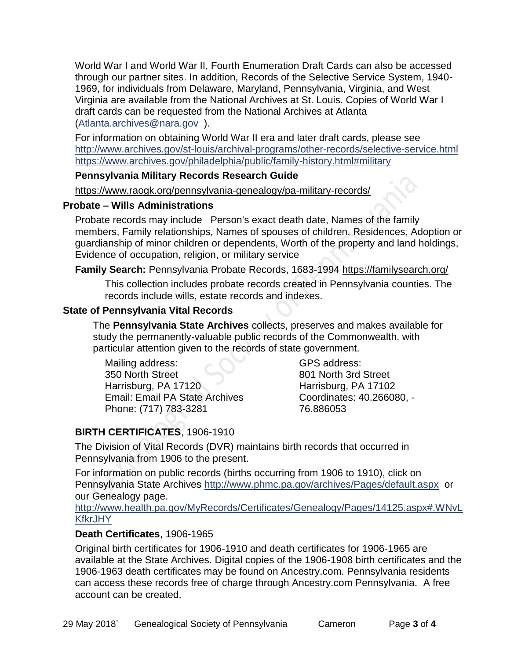World War I and World War II, Fourth Enumeration Draft Cards can also be accessed through our partner sites. In addition, Records of the Selective Service System, 1940- 1969, for individuals from Delaware, Maryland, Pennsylvania, Virginia, and West Virginia are available from the National Archives at St. Louis. Copies of World War I draft cards can be requested from the National Archives at Atlanta [\(Atlanta.archives@nara.gov](mailto:Atlanta.archives@nara.gov) ).

For information on obtaining World War II era and later draft cards, please see <http://www.archives.gov/st-louis/archival-programs/other-records/selective-service.html> <https://www.archives.gov/philadelphia/public/family-history.html#military>

#### **Pennsylvania Military Records Research Guide**

<https://www.raogk.org/pennsylvania-genealogy/pa-military-records/>

#### **Probate – Wills Administrations**

Probate records may include Person's exact death date, Names of the family members, Family relationships, Names of spouses of children, Residences, Adoption or guardianship of minor children or dependents, Worth of the property and land holdings, Evidence of occupation, religion, or military service

#### **Family Search:** Pennsylvania Probate Records, 1683-1994 <https://familysearch.org/>

This collection includes probate records created in Pennsylvania counties. The records include wills, estate records and indexes.

#### **State of Pennsylvania Vital Records**

The **Pennsylvania State Archives** collects, preserves and makes available for study the permanently-valuable public records of the Commonwealth, with particular attention given to the records of state government.

Mailing address: 350 North Street Harrisburg, PA 17120 Email: Email PA State Archives Phone: (717) 783-3281

GPS address: 801 North 3rd Street Harrisburg, PA 17102 Coordinates: 40.266080, - 76.886053

# **BIRTH CERTIFICATES**, 1906-1910

The Division of Vital Records (DVR) maintains birth records that occurred in Pennsylvania from 1906 to the present.

For information on public records (births occurring from 1906 to 1910), click on Pennsylvania State Archives <http://www.phmc.pa.gov/archives/Pages/default.aspx>or our Genealogy page.

[http://www.health.pa.gov/MyRecords/Certificates/Genealogy/Pages/14125.aspx#.WNvL](http://www.health.pa.gov/MyRecords/Certificates/Genealogy/Pages/14125.aspx#.WNvLKfkrJHY) **[KfkrJHY](http://www.health.pa.gov/MyRecords/Certificates/Genealogy/Pages/14125.aspx#.WNvLKfkrJHY)** 

#### **Death Certificates**, 1906-1965

Original birth certificates for 1906-1910 and death certificates for 1906-1965 are available at the State Archives. Digital copies of the 1906-1908 birth certificates and the 1906-1963 death certificates may be found on Ancestry.com. Pennsylvania residents can access these records free of charge through Ancestry.com Pennsylvania. A free account can be created.